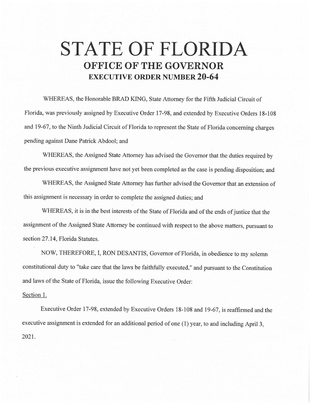## **STATE OF FLORIDA OFFICE OF THE GOVERNOR EXECUTIVE ORDER NUMBER 20-64**

WHEREAS, the Honorable BRAD KING, State Attorney for the Fifth Judicial Circuit of Florida, was previously assigned by Executive Order 17-98, and extended by Executive Orders 18-108 and 19-67, to the Ninth Judicial Circuit of Florida to represent the State of Florida concerning charges pending against Dane Patrick Abdool; and

WHEREAS, the Assigned State Attorney has advised the Governor that the duties required by the previous executive assignment have not yet been completed as the case is pending disposition; and

WHEREAS, the Assigned State Attorney has further advised the Governor that an extension of this assignment is necessary in order to complete the assigned duties; and

WHEREAS, it is in the best interests of the State of Florida and of the ends of justice that the assignment of the Assigned State Attorney be continued with respect to the above matters, pursuant to section 27.14, Florida Statutes.

NOW, THEREFORE, I, RON DESANTIS, Governor of Florida, in obedience to my solemn constitutional duty to "take care that the laws be faithfully executed," and pursuant to the Constitution and laws of the State of Florida, issue the following Executive Order:

## Section 1.

Executive Order 17-98, extended by Executive Orders 18-108 and 19-67, is reaffirmed and the executive assignment is extended for an additional period of one (1) year, to and including April 3, 2021.